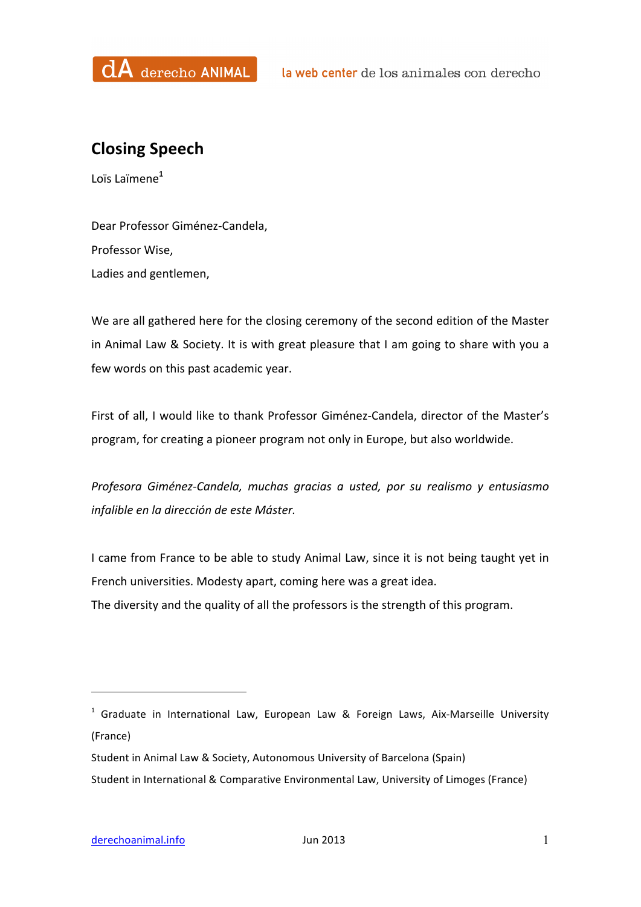

## **Closing Speech**

Loïs Laïmene**<sup>1</sup>**

Dear Professor Giménez-Candela, Professor Wise, Ladies and gentlemen,

We are all gathered here for the closing ceremony of the second edition of the Master in Animal Law & Society. It is with great pleasure that I am going to share with you a few words on this past academic year.

First of all, I would like to thank Professor Giménez-Candela, director of the Master's program, for creating a pioneer program not only in Europe, but also worldwide.

*Profesora Giménez-Candela, muchas gracias a usted, por su realismo y entusiasmo infalible en la dirección de este Máster.* 

I came from France to be able to study Animal Law, since it is not being taught yet in French universities. Modesty apart, coming here was a great idea. The diversity and the quality of all the professors is the strength of this program.

 

 $1$  Graduate in International Law, European Law & Foreign Laws, Aix-Marseille University (France)

Student in Animal Law & Society, Autonomous University of Barcelona (Spain) Student in International & Comparative Environmental Law, University of Limoges (France)